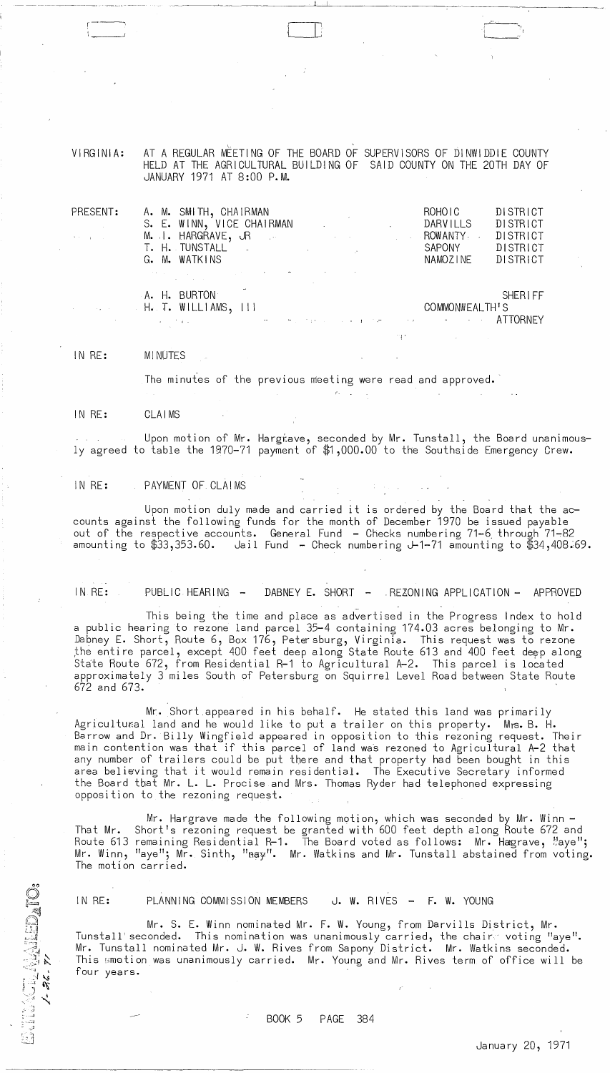VIRGINIA: AT A REGULAR MÈETING OF THE BOARD OF SUPERVISORS OF DINWIDDIE COUNTY HELD AT THE AGRICULTURAL BUILDING OF SAID COUNTY ON THE 20TH DAY OF JANUARY 1971 AT 8:00 P.M.

i L\_---'

| PRESENT:<br><b>Contract Contract Contract</b><br>$\Theta_{\rm{eff}}$ and $\Omega_{\rm{eff}}$ and $\Omega_{\rm{eff}}$ | A. M. SMITH, CHAIRMAN<br>S. E. WINN, VICE CHAIRMAN<br>M. I. HARGRAVE, JR DE LA CONTROLLATION CONTROLLER                                                                                                                                                                | the contract of the contract of the contract of                                                                                                                                                                                         | DISTRICT<br>ROHOIC<br>DARVILLS<br>DISTRICT<br>ROWANTY<br>DISTRICT                                                                                   |
|----------------------------------------------------------------------------------------------------------------------|------------------------------------------------------------------------------------------------------------------------------------------------------------------------------------------------------------------------------------------------------------------------|-----------------------------------------------------------------------------------------------------------------------------------------------------------------------------------------------------------------------------------------|-----------------------------------------------------------------------------------------------------------------------------------------------------|
|                                                                                                                      | T. H. TUNSTALL .<br>G. M. WATKINS<br>where $\alpha$ is a properties of the state of the state of the state of the state of the state of the state of the state of the state of the state of the state of the state of the state of the state of the state of the state | $\mathcal{L}^{\mathcal{L}}(\mathcal{L}^{\mathcal{L}})$ and $\mathcal{L}^{\mathcal{L}}(\mathcal{L}^{\mathcal{L}})$ and $\mathcal{L}^{\mathcal{L}}(\mathcal{L}^{\mathcal{L}})$ and $\mathcal{L}^{\mathcal{L}}(\mathcal{L}^{\mathcal{L}})$ | <b>DISTRICT</b><br>SAPONY<br>NAMOZINE<br>DISTRICT                                                                                                   |
|                                                                                                                      | A. H. BURTON<br>$H_{\bullet}$ T. WILLIAMS, III<br>the state of the state of the state of the state of the                                                                                                                                                              |                                                                                                                                                                                                                                         | <b>SHERIFF</b><br>COMMONWEALTH'S<br>the contract of the contract of the contract of the contract of the contract of the contract of the contract of |

IN RE: MINUTES

The minutes of the previous meeting were read and approved.

! '

IN RE: CLAIMS

Upon motion of Mr. Hargtave, seconded by Mr. Tunstall, the Board unanimously agreed to table the 1970-71 payment of \$1,000.00 to the Southside Emergency Crew.

IN RE: PAYMENT OF CLAIMS

Upon motion duly made and carried it is ordered by the Board that the accounts against the following funds for the month of December 1970 be issued payable out of the respective accounts. General Fund - Checks numbering 71-6 through 71-82<br>amounting to \$33,353.60. Jail Fund - Check numbering J-1-71 amounting to \$34,408. Jail Fund - Check numbering J-1-71 amounting to  $$34,408.69$ .

IN RE: PUBLIC HEARING - DABNEY E. SHORT - REZONING APPLICATION - APPROVED

This being the time and place as advertised in the Progress Index to hold a public hearing to rezone land parcel 35-4 containing 174.03 acres belonging to Mr. Dabney E. Short, Route 6, Box 176, Petersburg, Virginia. This request was to rezone the entire parcel, except 400 feet deep along State Route 613 and 400 feet deep along state Rbute 672, from Residential R-1 to Agricultural A-2. This parcel is located approximately 3 miles South of Petersburg on Squirrel Level Road between State Route 672 and 673.

Mr. Short.appeared in his behalf. He stated this land was primarily Agricultural land and he would like to put a trailer on this property. Mrs. B. H. Barrow and Dr. Billy Wingfield appeared in opposition to this rezoning request. Their main contention was that if this parcel of land was rezoned to Agricultural A-2 that any number of trailers could be put tbere and that property had been bought in this area believing that it would remain residential. The Executive Secretary informed the Board that Mr. L. L. Procise and Mrs. Thomas Ryder had telephoned expressing opposition to the rezoning request.

Mr. Hargrave made the following motion, which was seconded by Mr. Winn - That Mr. Short's rezoning request be granted with 600 feet depth along Route 672 and Route 613 remaining Residential R-1. The Board voted as follows: Mr. Hagrave, "aye"; Mr. Winn, "aye"; Mr. Sinth, "may". Mr. Watkins and Mr. Tunstall abstained from voting. The motion carried.

 $\frac{1}{2}$  ,  $\frac{1}{2}$  ,  $\frac{1}{2}$ 

 $\sim$  .

 $\mathbb{E}\left[\frac{1}{2}\right]$ 

IN RE: PLANNING COMMISSION MEMBERS J. W. RIVES - F. W. YOUNG

 $\mathcal{L}^{\pi^+}$ 

 $\sim 10$ 

Mr. S. E. Winn nominated Mr. F. W. Young, from Darvills District, Mr. Tunstall'seconded. This nomination was unanimously carried, the chair voting "aye". Mr. Tunstall nominated Mr. J. W. Rives from Sapony District. Mr. Watkins seconded. This 'imotion was unanimously carried. Mr. Young and Mr. Rives term of office will be four years.

BOOK 5 PAGE 384

 $\ddot{\cdot}$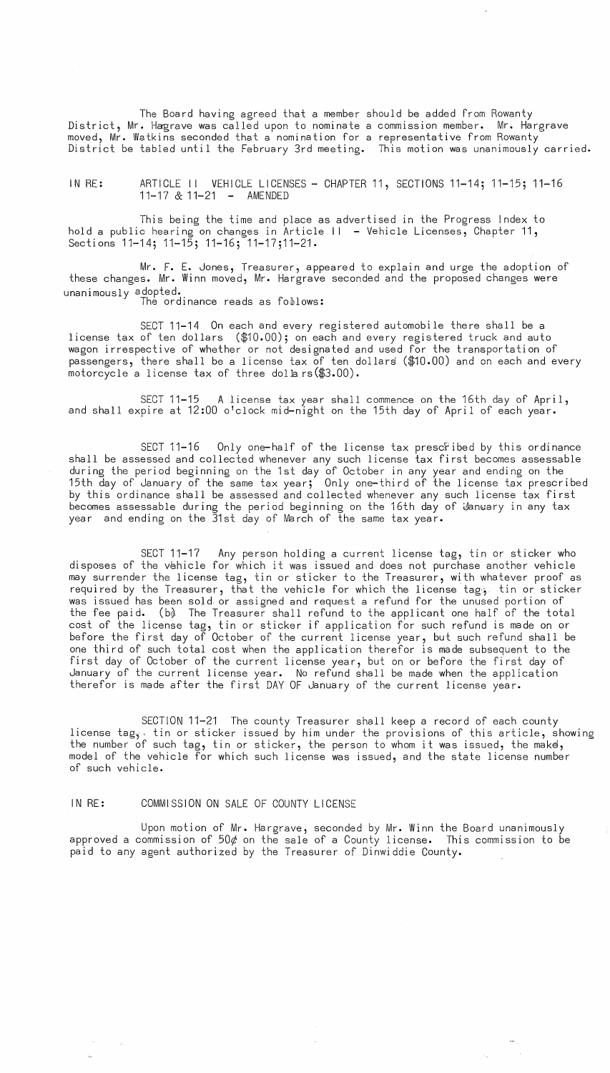The Board having agreed that a member should be added from Rowanty District, Mr. Hagrave was called upon to nominate a commission member. Mr. Hargrave moved, Mr. Watkins seconded that a nomination for a representative from Rowanty District be tabled until the February 3rd meeting. This motion was unanimously carried.

IN RE: ARTICLE II VEHICLE LICENSES - CHAPTER 11, SECTIONS 11-14; 11-15; 11-16 11-17 & 11-21 - AMENDED

This being the time and place as advertised in the Progress Index to hold a public hearing on changes in Article  $| \cdot |$  - Vehicle Licenses, Chapter 11, Sections 11-14; 11-15; 11-16; 11-17;11-21.

Mr. F. E. Jones, Treasurer, appeared to explain and urge the adoption of these changes. Mr. Winn moved, Mr. Hargrave seconded and the proposed changes were unanimously adopted. The ordinance reads as foblows:

SECT 11-14 On each and every registered automobile there shall be a license tax of ten dollars (\$10.00); on each and every registered truck and auto wagon irrespective of whether or not designated and used for the transportation of passengers, there shall be a license tax of ten dollars (\$10.00) and on each and every motorcycle a license tax of three dollars  $($3.00)$ .

SECT 11-15 A license tax year shall commence on the 16th day of April, and shall expire at 12:00 o'clock mid-night on the 15th day of April of each year.

SECT 11-16 Only one-half of the license tax prescribed by this ordinance shall be assessed and collected whenever any such license  ${\tt tax}$  first becomes assessable during the period beginning on the 1st day of October in any year and ending on the 15th day of January of the same tax year; Only one-third of the license tax prescribed by this ordinance shall be assessed and collected whenever any such license tax first becomes assessable during the period beginning on the 16th day of  $\,$  January in any tax year and ending on the 31st day of March of the same tax year.

SECT 11-17  $\;$  Any person holding a current license tag, tin or sticker who disposes of the vehicle for which it was issued and does not purchase another vehicle may surrender the license tag, tin or sticker to the Treasurer, with whatever proof as required by the Treasurer, that the vehicle for which the license tage. tin or sticker was issued has been sold or assigned and request a refund for the unused portion of the fee paid. (b $\lambda$  The Treasurer shall refund to the applicant one half of the total cost of the license tag, tin or sticker if application  $\overleftrightarrow{\hspace{1mm}}$  for such refund is made on or before the first day of October of the current license year, but such refund shall be one third of such total cost when the application therefor is made subsequent to the first day of October of the current license year, but on or before the first day of January of the current license year. No refund shall be made when the application  $\,$ therefor is made after the first DAY OF January of the current license year.

SECTION 11-21 The county Treasurer shall keep a record of each county license tag<sub>y</sub> tin or sticker issued by him under the provisions of this article, showing the number of such tag, tin or sticker, the person to whom it was issued, the make, model of the vehicle for which such license was issued, and the state license number of such vehicle.

# IN RE: COMMISSION ON SALE OF COUNTY LICENSE

Upon motion of Mr. Hargrave, seconded by Mr. Winn the Board unanimously approved a commission of  $50¢$  on the sale of a County license. This commission to be paid to any agent authorized by the Treasurer of Dinwiddie County.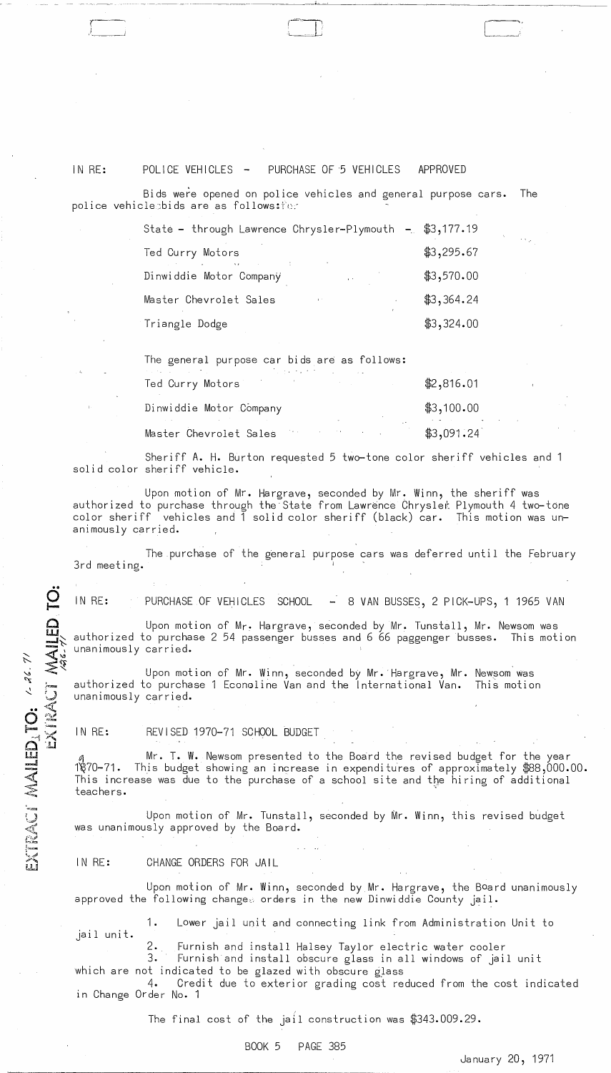## IN RE:

( )------'

# POLICE VEHICLES - PURCHASE OF 5 VEHICLES APPROVED

Bids were opened on police vehicles and general purpose cars. The police vehiclesbids are as follows: for

| State - through Lawrence Chrysler-Plymouth - \$3,177.19 |            |
|---------------------------------------------------------|------------|
| Ted Curry Motors                                        | \$3,295.67 |
| Dinwiddie Motor Company<br>$\sim$                       | \$3,570.00 |
| Master Chevrolet Sales<br>$\mathbf{J}^{(1)}$            | \$3,364.24 |
| Triangle Dodge                                          | \$3,324.00 |
|                                                         |            |

-.--~ - - .. --------~- ------'-'-----'~---~~----------------

 $\bigl[$ 

The general purpose car bids are as follows:

| the control of the control of the control of the control of the control of the control of<br>the contract of the contract of the contract of the contract of the contract of the contract of the contract of<br>Ted Curry Motors | \$2,816.01 |
|----------------------------------------------------------------------------------------------------------------------------------------------------------------------------------------------------------------------------------|------------|
| Dinwiddie Motor Company                                                                                                                                                                                                          | \$3,100.00 |
| Master Chevrolet Sales<br>of a sur-                                                                                                                                                                                              | \$3,091.24 |

Sheriff A. H. Burton requested 5 two-tone color sheriff vehicles and 1 solid color sheriff vehicle.

Upon motion of Mr. Hargrave, seconded by Mr. Winn, the sheriff was authorized to purchase through the State from Lawrence Chrysler Plymouth 4 two-tone color sheriff vehicles and 1 solid color sheriff (black) car. This motion was unanimously carried.

The purchase of the general purpose cars was deferred until the February 3rd meeting.

IN RE: PURCHASE OF VEHICLES SCHOOL - 8 VAN BUSSES, 2 PICK-UPS, 1 1965 VAN

Upon motion of Mr. Hargrave, seconded by Mr. Tunstall, Mr. Newsom was authorized to purchase 2 54 passenger busses and 6 66 paggenger busses. This motion unanimously carried.

Upon motion of Mr. Winn, seconded by Mr. Hargrave, Mr. Newsom Was authorized to purchase 1 Econoline Van and the International Van. This motion unanimously carried.

IN RE: REV I SED 1970-71 SCHOOL BUDGET

Mr. T. W. Newsom presented to the Board the revised budget for the year 1 $\frac{870-71}{8}$ . This budget showing an increase in expenditures of approximately  $\frac{488}{900.00}$ .00. This increase was due to the purchase of a school site and the hiring of additional teachers.

Upon motion of Mr. Tunstall, seconded by Mr. Winn, this revised budget was unanimously approved by the Board.

IN RE: CHANGE ORDERS FOR JAIL

Upon motion of Mr. Winn, seconded by Mr. Hargrave, the BOard unanimously approved the following changes orders in the new Dinwiddie County jail.

1. Lower jail unit and connecting link from Administration Unit to jail unit.

2. Furnish and install Halsey Taylor electric water cooler

3. Furnish and install obscure glass in all windows of jail unit which are not indicated to be glazed with obscure glass

4. Credit due to exterior grading cost reduced from the cost indicated in Change Order No.1

The final cost of the jail construction was \$343.009.29.

### BOOK 5 PAGE 385

Ja nua ry 20, 1971

 $\dot{\Omega}$ EXIRACI MAILED EXTRACI MAILEDATO: 1-36.71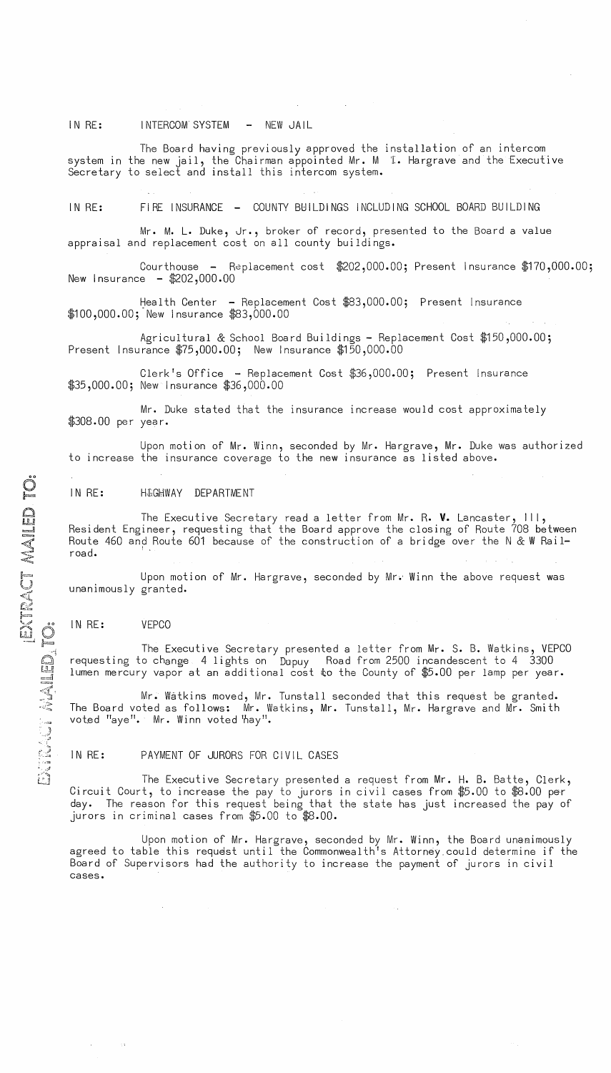## IN RE: INTERCOM SYSTEM - NEW JAIL

The Board having previously approved the installation of an intercom system in the new jail, the Chairman appointed Mr. M I. Hargrave and the Executive Secretary to select and install this intercom system.

IN RE: FIRE INSURANCE - COUNTY BUILDINGS INCLUDING SCHOOL BOARD BUILDING

Mr. M. L. Duke, Jr., broker of record, presented to the Board a value appraisal and replacement cost on all county buildings.

Courthouse - Replacement cost \$202,000.00; Present Insurance \$170,000.00; New Insurance - \$202,000.00

Health Center - Replacement Cost \$83,000.00; Present Insurance \$100,000.00; New Insurance \$83,000.00

Agricultural & School Board Buildings - Replacement Cost \$150,000.00; Present Insurance \$75,000.00; New Insurance \$150,000.00

Clerk's Office - Replacement Cost \$36,000.00; Present Insurance \$35,000.00; New Insurance \$36,000.00

Mr. Duke stated that the insurance increase would cost approximately \$308.00 per year.

Upon motion of Mr. Winn, seconded by Mr. Hargrave, Mr. Duke was authorized to increase the insurance coverage to the new insurance as listed above.

## IN RE: H&GHWAY DEPARTMENT

The Executive Secretary read a letter from Mr. R. **V.** Lancaster, III, Resident Engineer, requesting that the Board approve the closing of Route 708 between Route 460 and Route 601 because of the construction of a bridge over the N & W Railroad.

Upon motion of Mr. Hargrave, seconded by Mr. Winn the above request was unanimously granted.

### IN RE: VEPCO

 $\mathcal{O}(\mathcal{O}(\log n))$  . The  $\mathcal{O}(\log n)$ 

The Executive Secretary presented a letter from Mr. S. B. Watkins, VEPCO requesting to change 4 lights on Dupuy Road from 2500 incandescent to 4 3300 lumen mercury vapor at an additional cost to the County of  $$5.00$  per lamp per year.

Mr. Watkins moved, Mr. Tunstall seconded that this request be granted. The Board voted as follows: Mr. Watkins, Mr. Tunstall, Mr. Hargrave and Mr. Smith voted "aye". Mr. Winn voted hay".

### IN RE: PAYMENT OF JURORS FOR CIVIL CASES

 $\mathbb{C}\mathbb{I}$  The Executive Secretary presented a request from Mr. H. B. Batte, Clerk, Circuit Court, to increase the pay to jurors in civil cases from  $\$5.00$  to  $\$8.00$  per day. The reason for this request being that the state has just increased the pay of jurors in criminal cases from \$5.00 to \$8.00.

Upon motion of Mr. Hargrave, seconded by Mr. Winn, the Board unaaimously agreed to table this request until the Commonwealth's Attorney could determine if the Board of Supervisors had the authority to increase the payment of jurors in civil cases.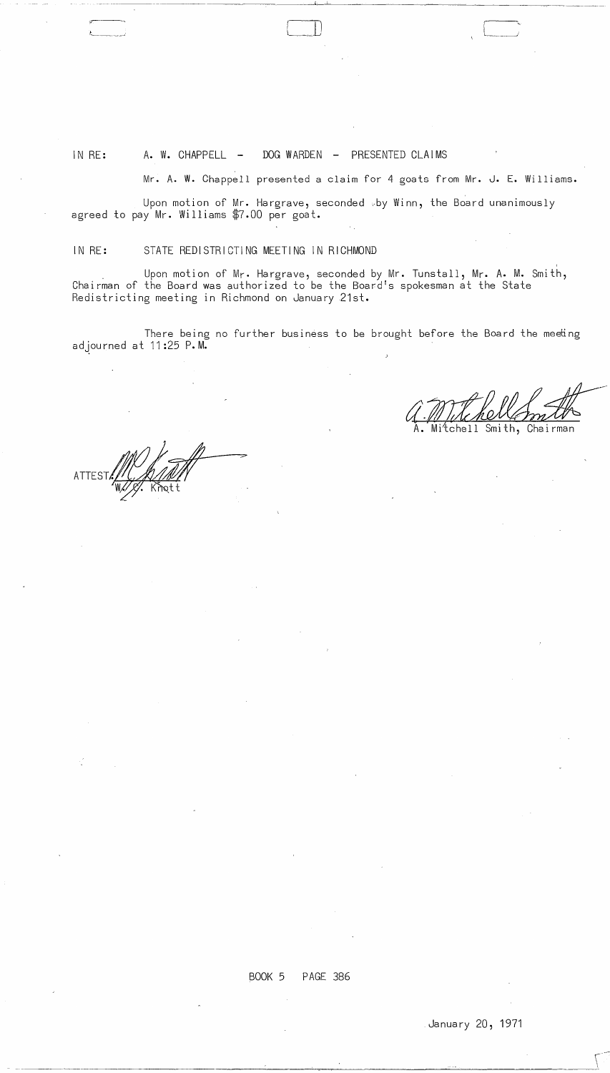ATTES

.:,---

# IN RE: A. W. CHAPPELL - DOG WARDEN - PRESENTED CLAIMS

Mr. A. W. Chappell presented a claim for 4 goats from Mr. J. E. Williams.

---------',"--' \_--" \_\_ ~ \_\_\_ -~~--~~--------

Upon motion of Mr. Hargrave, seconded "by Winn, the Board unanimously agreed to pay Mr. Williams \$7.00 per goat.

IN RE: STATE REDISTRICTING MEETING IN RICHMOND

 $f_{\text{max}}$  , and  $f_{\text{max}}$  , and  $f_{\text{max}}$ 

, . Upon motion of Mr. Hargrave, seconded by Mr. Tunstall, Mr. A. M. Smith, Chairman of the Board was authorized to be the Board!s spokesman at the State Redistricting meeting in Richmond on January 21st.

There being no further business to be brought before the Board the meeting adjourned at 11:25 P.M.

 $U \cdot I$  the herry

tchell Smith, Chairman

BOOK 5 PAGE 386

 $\sim$ 

 $\sim$  $\sim$